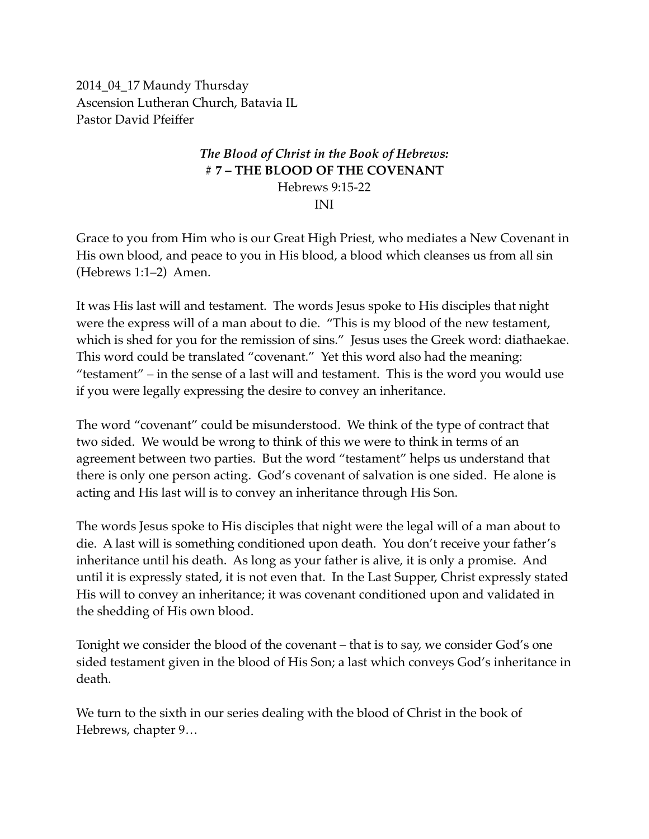2014\_04\_17 Maundy Thursday Ascension Lutheran Church, Batavia IL Pastor David Pfeiffer

## *The Blood of Christ in the Book of Hebrews:* **# 7 – THE BLOOD OF THE COVENANT** Hebrews 9:15-22 INI

Grace to you from Him who is our Great High Priest, who mediates a New Covenant in His own blood, and peace to you in His blood, a blood which cleanses us from all sin (Hebrews 1:1–2) Amen.

It was His last will and testament. The words Jesus spoke to His disciples that night were the express will of a man about to die. "This is my blood of the new testament, which is shed for you for the remission of sins." Jesus uses the Greek word: diathaekae. This word could be translated "covenant." Yet this word also had the meaning: "testament" – in the sense of a last will and testament. This is the word you would use if you were legally expressing the desire to convey an inheritance.

The word "covenant" could be misunderstood. We think of the type of contract that two sided. We would be wrong to think of this we were to think in terms of an agreement between two parties. But the word "testament" helps us understand that there is only one person acting. God's covenant of salvation is one sided. He alone is acting and His last will is to convey an inheritance through His Son.

The words Jesus spoke to His disciples that night were the legal will of a man about to die. A last will is something conditioned upon death. You don't receive your father's inheritance until his death. As long as your father is alive, it is only a promise. And until it is expressly stated, it is not even that. In the Last Supper, Christ expressly stated His will to convey an inheritance; it was covenant conditioned upon and validated in the shedding of His own blood.

Tonight we consider the blood of the covenant – that is to say, we consider God's one sided testament given in the blood of His Son; a last which conveys God's inheritance in death.

We turn to the sixth in our series dealing with the blood of Christ in the book of Hebrews, chapter 9…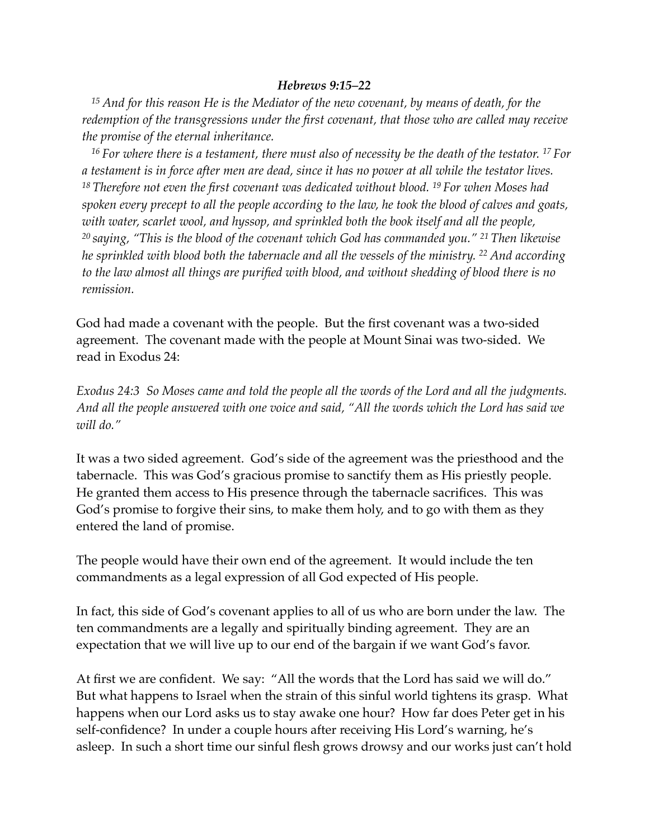## *Hebrews 9:15–22*

*<sup>15</sup> And for this reason He is the Mediator of the new covenant, by means of death, for the redemption of the transgressions under the first covenant, that those who are called may receive the promise of the eternal inheritance.*

*<sup>16</sup> For where there is a testament, there must also of necessity be the death of the testator. 17 For a testament is in force after men are dead, since it has no power at all while the testator lives. <sup>18</sup> Therefore not even the first covenant was dedicated without blood. 19 For when Moses had spoken every precept to all the people according to the law, he took the blood of calves and goats, with water, scarlet wool, and hyssop, and sprinkled both the book itself and all the people, <sup>20</sup> saying, "This is the blood of the covenant which God has commanded you." 21 Then likewise he sprinkled with blood both the tabernacle and all the vessels of the ministry. 22 And according to the law almost all things are purified with blood, and without shedding of blood there is no remission.*

God had made a covenant with the people. But the first covenant was a two-sided agreement. The covenant made with the people at Mount Sinai was two-sided. We read in Exodus 24:

*Exodus 24:3 So Moses came and told the people all the words of the Lord and all the judgments. And all the people answered with one voice and said, "All the words which the Lord has said we will do."* 

It was a two sided agreement. God's side of the agreement was the priesthood and the tabernacle. This was God's gracious promise to sanctify them as His priestly people. He granted them access to His presence through the tabernacle sacrifices. This was God's promise to forgive their sins, to make them holy, and to go with them as they entered the land of promise.

The people would have their own end of the agreement. It would include the ten commandments as a legal expression of all God expected of His people.

In fact, this side of God's covenant applies to all of us who are born under the law. The ten commandments are a legally and spiritually binding agreement. They are an expectation that we will live up to our end of the bargain if we want God's favor.

At first we are confident. We say: "All the words that the Lord has said we will do." But what happens to Israel when the strain of this sinful world tightens its grasp. What happens when our Lord asks us to stay awake one hour? How far does Peter get in his self-confidence? In under a couple hours after receiving His Lord's warning, he's asleep. In such a short time our sinful flesh grows drowsy and our works just can't hold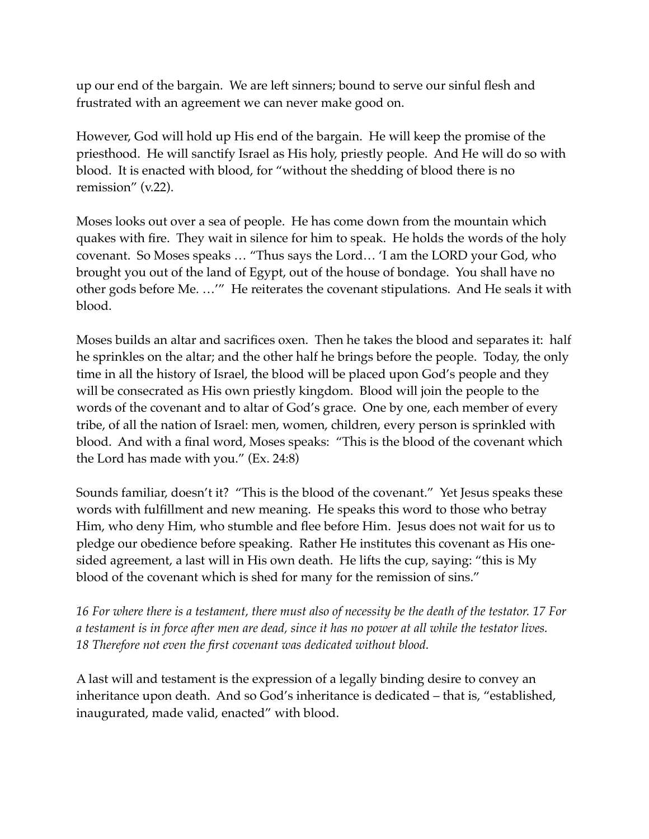up our end of the bargain. We are left sinners; bound to serve our sinful flesh and frustrated with an agreement we can never make good on.

However, God will hold up His end of the bargain. He will keep the promise of the priesthood. He will sanctify Israel as His holy, priestly people. And He will do so with blood. It is enacted with blood, for "without the shedding of blood there is no remission" (v.22).

Moses looks out over a sea of people. He has come down from the mountain which quakes with fire. They wait in silence for him to speak. He holds the words of the holy covenant. So Moses speaks … "Thus says the Lord… 'I am the LORD your God, who brought you out of the land of Egypt, out of the house of bondage. You shall have no other gods before Me. …'" He reiterates the covenant stipulations. And He seals it with blood.

Moses builds an altar and sacrifices oxen. Then he takes the blood and separates it: half he sprinkles on the altar; and the other half he brings before the people. Today, the only time in all the history of Israel, the blood will be placed upon God's people and they will be consecrated as His own priestly kingdom. Blood will join the people to the words of the covenant and to altar of God's grace. One by one, each member of every tribe, of all the nation of Israel: men, women, children, every person is sprinkled with blood. And with a final word, Moses speaks: "This is the blood of the covenant which the Lord has made with you." (Ex. 24:8)

Sounds familiar, doesn't it? "This is the blood of the covenant." Yet Jesus speaks these words with fulfillment and new meaning. He speaks this word to those who betray Him, who deny Him, who stumble and flee before Him. Jesus does not wait for us to pledge our obedience before speaking. Rather He institutes this covenant as His onesided agreement, a last will in His own death. He lifts the cup, saying: "this is My blood of the covenant which is shed for many for the remission of sins."

*16 For where there is a testament, there must also of necessity be the death of the testator. 17 For a testament is in force after men are dead, since it has no power at all while the testator lives. 18 Therefore not even the first covenant was dedicated without blood.*

A last will and testament is the expression of a legally binding desire to convey an inheritance upon death. And so God's inheritance is dedicated – that is, "established, inaugurated, made valid, enacted" with blood.